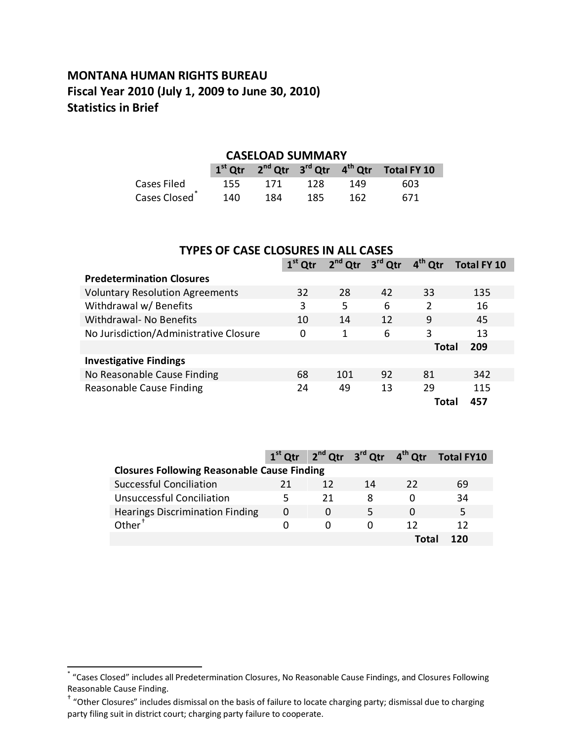### **MONTANA HUMAN RIGHTS BUREAU Fiscal Year 2010 (July 1, 2009 to June 30, 2010) Statistics in Brief**

#### **CASELOAD SUMMARY**

|                           |     |         |       |     | $1st$ Qtr $2nd$ Qtr $3rd$ Qtr $4th$ Qtr Total FY 10 |
|---------------------------|-----|---------|-------|-----|-----------------------------------------------------|
| Cases Filed               | 155 | - 171 - | - 128 | 149 | 603                                                 |
| Cases Closed <sup>*</sup> | 140 | 184     | 185   | 162 | 671                                                 |

| <b>TYPES OF CASE CLOSURES IN ALL CASES</b> |           |                     |    |              |                    |
|--------------------------------------------|-----------|---------------------|----|--------------|--------------------|
|                                            | $1st$ Qtr | $2nd$ Qtr $3rd$ Qtr |    | $4th$ Qtr    | <b>Total FY 10</b> |
| <b>Predetermination Closures</b>           |           |                     |    |              |                    |
| <b>Voluntary Resolution Agreements</b>     | 32        | 28                  | 42 | 33           | 135                |
| Withdrawal w/ Benefits                     | 3         | 5                   | 6  | 2            | 16                 |
| Withdrawal- No Benefits                    | 10        | 14                  | 12 | 9            | 45                 |
| No Jurisdiction/Administrative Closure     | 0         | 1                   | 6  | 3            | 13                 |
|                                            |           |                     |    | <b>Total</b> | 209                |
| <b>Investigative Findings</b>              |           |                     |    |              |                    |
| No Reasonable Cause Finding                | 68        | 101                 | 92 | 81           | 342                |
| Reasonable Cause Finding                   | 24        | 49                  | 13 | 29           | 115                |
|                                            |           |                     |    | Total        | 457                |

|                                                    |              |    |    |      | $1st$ Qtr $2nd$ Qtr $3rd$ Qtr $4th$ Qtr Total FY10 |  |
|----------------------------------------------------|--------------|----|----|------|----------------------------------------------------|--|
| <b>Closures Following Reasonable Cause Finding</b> |              |    |    |      |                                                    |  |
| Successful Conciliation                            | 21           | 12 | 14 | 22   | 69                                                 |  |
| Unsuccessful Conciliation                          |              | 21 | ጸ  |      | 34                                                 |  |
| <b>Hearings Discrimination Finding</b>             | 0            |    |    |      |                                                    |  |
| Other $†$                                          | $\mathbf{O}$ | O  |    | 17   | 12                                                 |  |
|                                                    |              |    |    | Tota | <b>120</b>                                         |  |

<span id="page-0-0"></span> <sup>\*</sup> "Cases Closed" includes all Predetermination Closures, No Reasonable Cause Findings, and Closures Following Reasonable Cause Finding.

<span id="page-0-1"></span><sup>†</sup> "Other Closures" includes dismissal on the basis of failure to locate charging party; dismissal due to charging party filing suit in district court; charging party failure to cooperate.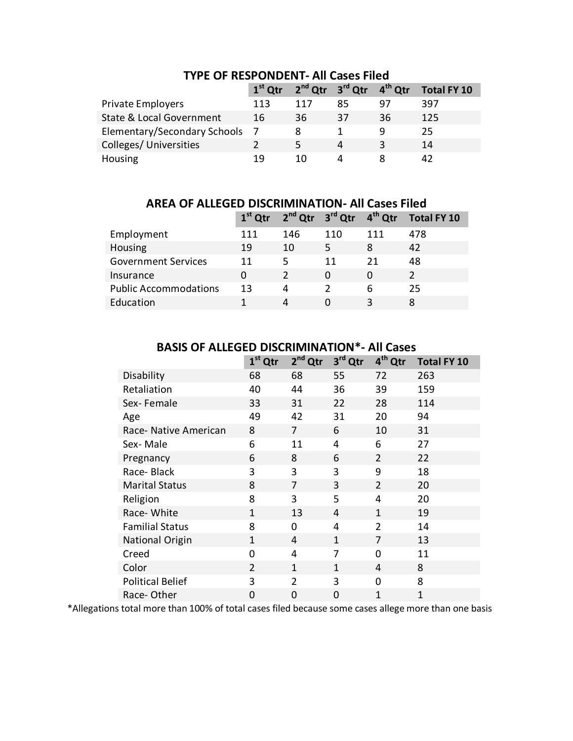|                                     | $1st$ Qtr | 2 <sup>nd</sup> Qtr 3 <sup>rd</sup> Qtr 4 <sup>th</sup> Qtr |    |    | <b>Total FY 10</b> |
|-------------------------------------|-----------|-------------------------------------------------------------|----|----|--------------------|
| <b>Private Employers</b>            | 113       | 117                                                         | 85 | 97 | 397                |
| <b>State &amp; Local Government</b> | 16        | 36                                                          | 37 | 36 | 125                |
| Elementary/Secondary Schools        |           |                                                             |    | 9  | 25                 |
| Colleges/Universities               |           | 5                                                           | 4  | 3  | 14                 |
| Housing                             | 19        | 10                                                          | Δ  |    |                    |

#### **TYPE OF RESPONDENT- All Cases Filed**

**AREA OF ALLEGED DISCRIMINATION- All Cases Filed**

|                              |     |     | $1st$ Qtr $2nd$ Qtr $3rd$ Qtr $4th$ Qtr |     | <b>Total FY 10</b> |
|------------------------------|-----|-----|-----------------------------------------|-----|--------------------|
| Employment                   | 111 | 146 | 110                                     | 111 | 478                |
| Housing                      | 19  | 10  | 5                                       | 8   | 42                 |
| <b>Government Services</b>   | 11  | 5   | 11                                      | 21  | 48                 |
| Insurance                    | 0   |     | 0                                       | 0   |                    |
| <b>Public Accommodations</b> | 13  | 4   |                                         | 6   | 25                 |
| Education                    |     | 4   |                                         | 3   |                    |

|                         | $1st$ Qtr      | 2 <sup>nd</sup><br>Qtr | 3 <sup>rd</sup> Qtr | 4 <sup>th</sup> Qtr | <b>Total FY 10</b> |
|-------------------------|----------------|------------------------|---------------------|---------------------|--------------------|
| Disability              | 68             | 68                     | 55                  | 72                  | 263                |
| Retaliation             | 40             | 44                     | 36                  | 39                  | 159                |
| Sex-Female              | 33             | 31                     | 22                  | 28                  | 114                |
| Age                     | 49             | 42                     | 31                  | 20                  | 94                 |
| Race- Native American   | 8              | 7                      | 6                   | 10                  | 31                 |
| Sex-Male                | 6              | 11                     | 4                   | 6                   | 27                 |
| Pregnancy               | 6              | 8                      | 6                   | $\overline{2}$      | 22                 |
| Race-Black              | 3              | 3                      | 3                   | 9                   | 18                 |
| <b>Marital Status</b>   | 8              | 7                      | 3                   | $\overline{2}$      | 20                 |
| Religion                | 8              | 3                      | 5                   | 4                   | 20                 |
| Race-White              | 1              | 13                     | 4                   | 1                   | 19                 |
| <b>Familial Status</b>  | 8              | 0                      | 4                   | $\overline{2}$      | 14                 |
| National Origin         | 1              | 4                      | 1                   | 7                   | 13                 |
| Creed                   | 0              | 4                      | 7                   | $\Omega$            | 11                 |
| Color                   | 2              | $\mathbf{1}$           | 1                   | 4                   | 8                  |
| <b>Political Belief</b> | 3              | $\overline{2}$         | 3                   | 0                   | 8                  |
| Race-Other              | $\overline{0}$ | 0                      | $\mathbf 0$         | $\overline{1}$      | $\mathbf{1}$       |

#### **BASIS OF ALLEGED DISCRIMINATION\*- All Cases**

\*Allegations total more than 100% of total cases filed because some cases allege more than one basis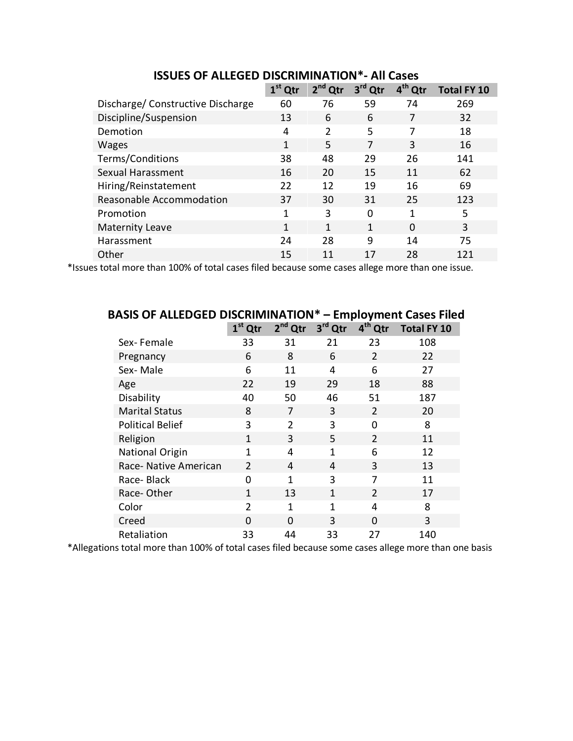|                                   | $1st$ Qtr | $2nd$ Qtr    | 3 <sup>rd</sup> Qtr | 4 <sup>th</sup> Qtr | <b>Total FY 10</b> |
|-----------------------------------|-----------|--------------|---------------------|---------------------|--------------------|
| Discharge/ Constructive Discharge | 60        | 76           | 59                  | 74                  | 269                |
| Discipline/Suspension             | 13        | 6            | 6                   | 7                   | 32                 |
| Demotion                          | 4         | 2            | 5                   | 7                   | 18                 |
| <b>Wages</b>                      | 1         | 5            | 7                   | 3                   | 16                 |
| Terms/Conditions                  | 38        | 48           | 29                  | 26                  | 141                |
| Sexual Harassment                 | 16        | 20           | 15                  | 11                  | 62                 |
| Hiring/Reinstatement              | 22        | 12           | 19                  | 16                  | 69                 |
| Reasonable Accommodation          | 37        | 30           | 31                  | 25                  | 123                |
| Promotion                         | 1         | 3            | $\Omega$            | 1                   | 5                  |
| <b>Maternity Leave</b>            | 1         | $\mathbf{1}$ | 1                   | $\Omega$            | 3                  |
| Harassment                        | 24        | 28           | q                   | 14                  | 75                 |
| Other                             | 15        | 11           | 17                  | 28                  | 121                |

**ISSUES OF ALLEGED DISCRIMINATION\*- All Cases**

\*Issues total more than 100% of total cases filed because some cases allege more than one issue.

| BASIS OF ALLEDGED DISCRIMINATION<br>– Employment Cases Filed |                |           |              |                     |                    |
|--------------------------------------------------------------|----------------|-----------|--------------|---------------------|--------------------|
|                                                              | $1st$ Qtr      | $2nd$ Qtr | 3rd Qtr      | 4 <sup>th</sup> Qtr | <b>Total FY 10</b> |
| Sex-Female                                                   | 33             | 31        | 21           | 23                  | 108                |
| Pregnancy                                                    | 6              | 8         | 6            | 2                   | 22                 |
| Sex-Male                                                     | 6              | 11        | 4            | 6                   | 27                 |
| Age                                                          | 22             | 19        | 29           | 18                  | 88                 |
| Disability                                                   | 40             | 50        | 46           | 51                  | 187                |
| <b>Marital Status</b>                                        | 8              | 7         | 3            | 2                   | 20                 |
| <b>Political Belief</b>                                      | 3              | 2         | 3            | 0                   | 8                  |
| Religion                                                     | 1              | 3         | 5            | 2                   | 11                 |
| <b>National Origin</b>                                       | 1              | 4         | 1            | 6                   | 12                 |
| Race- Native American                                        | $\mathcal{P}$  | 4         | 4            | 3                   | 13                 |
| Race-Black                                                   | 0              | 1         | 3            | 7                   | 11                 |
| Race-Other                                                   | 1              | 13        | $\mathbf{1}$ | 2                   | 17                 |
| Color                                                        | $\overline{2}$ | 1         | 1            | 4                   | 8                  |
| Creed                                                        | $\Omega$       | $\Omega$  | 3            | $\Omega$            | 3                  |
| Retaliation                                                  | 33             | 44        | 33           | 27                  | 140                |

## **BASIS OF ALLEDGED DISCRIMINATION\* – Employment Cases Filed**

\*Allegations total more than 100% of total cases filed because some cases allege more than one basis